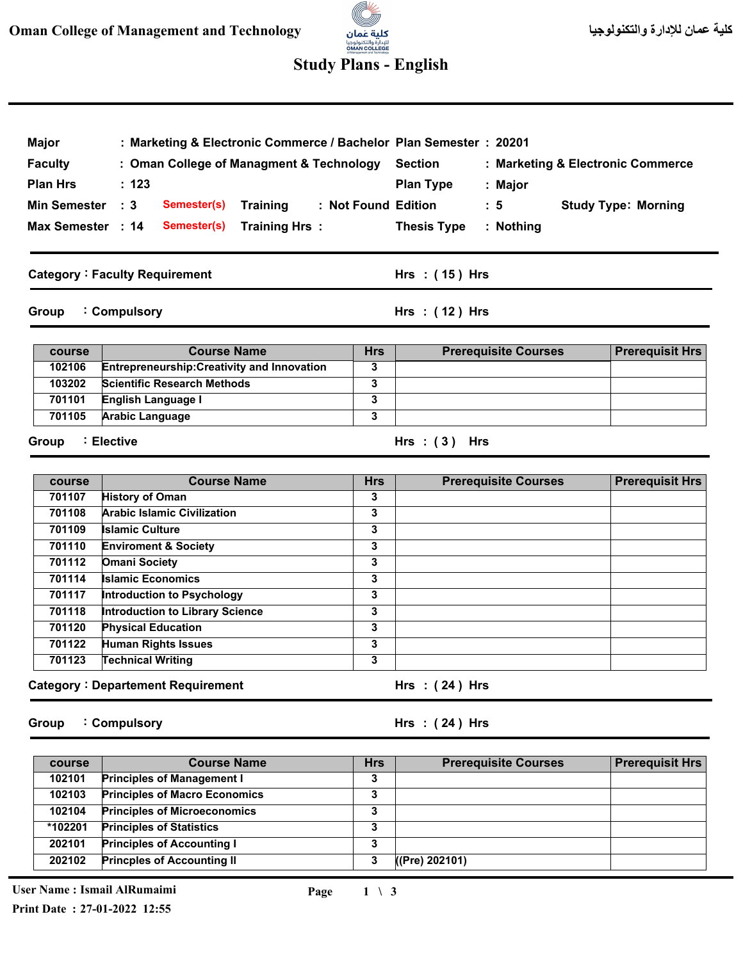# للإدارة والتكنولوجيا<br>**OMAN COLLEGE**<br>st Management and Technoloxy

3

## **Study Plans - English**

| <b>Major</b>                                                            | : Marketing & Electronic Commerce / Bachelor Plan Semester : 20201 |                         |                                                                                    |                            |  |
|-------------------------------------------------------------------------|--------------------------------------------------------------------|-------------------------|------------------------------------------------------------------------------------|----------------------------|--|
| <b>Faculty</b>                                                          | : Oman College of Managment & Technology                           |                         | <b>Section</b><br>: Marketing & Electronic Commerce<br><b>Plan Type</b><br>: Major |                            |  |
| <b>Plan Hrs</b>                                                         | : 123                                                              |                         |                                                                                    |                            |  |
| <b>Min Semester</b><br>$\therefore$ 3<br>Semester(s)<br><b>Training</b> |                                                                    |                         | : Not Found Edition<br>$\therefore$ 5                                              | <b>Study Type: Morning</b> |  |
| Max Semester : 14                                                       | Semester(s)<br>Training Hrs:                                       |                         | <b>Thesis Type</b><br>: Nothing                                                    |                            |  |
|                                                                         |                                                                    |                         |                                                                                    |                            |  |
|                                                                         | <b>Category: Faculty Requirement</b>                               |                         | Hrs: (15) Hrs                                                                      |                            |  |
| Group                                                                   | : Compulsory                                                       |                         | Hrs: (12) Hrs                                                                      |                            |  |
| course                                                                  | <b>Course Name</b>                                                 | <b>Hrs</b>              | <b>Prerequisite Courses</b>                                                        | <b>Prerequisit Hrs</b>     |  |
| 102106                                                                  | Entrepreneurship: Creativity and Innovation                        | 3                       |                                                                                    |                            |  |
| 103202                                                                  | <b>Scientific Research Methods</b>                                 | 3                       |                                                                                    |                            |  |
| 701101                                                                  | English Language I                                                 | $\overline{\mathbf{3}}$ |                                                                                    |                            |  |
| 701105                                                                  | <b>Arabic Language</b>                                             | 3                       |                                                                                    |                            |  |
| <b>Group</b>                                                            | : Elective                                                         |                         | Hrs: $(3)$ Hrs                                                                     |                            |  |
| course                                                                  | <b>Course Name</b>                                                 | <b>Hrs</b>              | <b>Prerequisite Courses</b>                                                        | <b>Prerequisit Hrs</b>     |  |
| 701107                                                                  | <b>History of Oman</b>                                             | 3                       |                                                                                    |                            |  |
| 701108                                                                  | <b>Arabic Islamic Civilization</b>                                 | 3                       |                                                                                    |                            |  |
| 701109                                                                  | <b>Islamic Culture</b>                                             | 3                       |                                                                                    |                            |  |
| 701110                                                                  | <b>Enviroment &amp; Society</b>                                    | 3                       |                                                                                    |                            |  |
| 701112                                                                  | <b>Omani Society</b>                                               | 3                       |                                                                                    |                            |  |
| 701114                                                                  | <b>Islamic Economics</b>                                           | 3                       |                                                                                    |                            |  |
| 701117                                                                  | Introduction to Psychology                                         | 3                       |                                                                                    |                            |  |
| 701118                                                                  | <b>Introduction to Library Science</b>                             | 3                       |                                                                                    |                            |  |
| 701120<br>701122                                                        | <b>Physical Education</b>                                          | 3<br>3                  |                                                                                    |                            |  |
| 701123                                                                  | <b>Human Rights Issues</b><br><b>Technical Writing</b>             | 3                       |                                                                                    |                            |  |
|                                                                         | <b>Category: Departement Requirement</b>                           |                         | Hrs $:(24)$ Hrs                                                                    |                            |  |
|                                                                         |                                                                    |                         |                                                                                    |                            |  |
|                                                                         |                                                                    |                         | Hrs: $(24)$ Hrs                                                                    |                            |  |
| Group                                                                   | : Compulsory                                                       |                         |                                                                                    |                            |  |
| course                                                                  | <b>Course Name</b>                                                 | <b>Hrs</b>              | <b>Prerequisite Courses</b>                                                        |                            |  |
| 102101                                                                  | <b>Principles of Management I</b>                                  | 3                       |                                                                                    | <b>Prerequisit Hrs</b>     |  |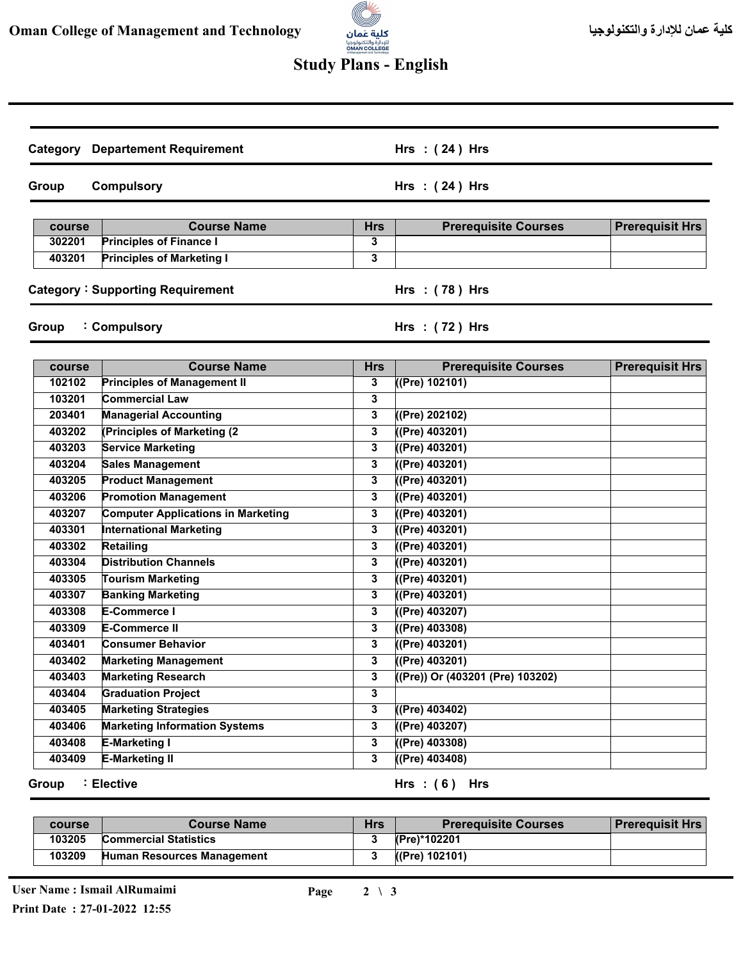

## **Study Plans - English**

| <b>Category Departement Requirement</b> |                                           |              | Hrs: (24) Hrs                    |                        |
|-----------------------------------------|-------------------------------------------|--------------|----------------------------------|------------------------|
| Group                                   | <b>Compulsory</b>                         |              | Hrs: (24) Hrs                    |                        |
| course                                  | <b>Course Name</b>                        | <b>Hrs</b>   | <b>Prerequisite Courses</b>      | <b>Prerequisit Hrs</b> |
| 302201                                  | <b>Principles of Finance I</b>            | 3            |                                  |                        |
| 403201                                  | <b>Principles of Marketing I</b>          | 3            |                                  |                        |
|                                         | <b>Category: Supporting Requirement</b>   |              | Hrs : (78) Hrs                   |                        |
| Group                                   | : Compulsory                              |              | Hrs: (72) Hrs                    |                        |
| course                                  | <b>Course Name</b>                        | <b>Hrs</b>   | <b>Prerequisite Courses</b>      | <b>Prerequisit Hrs</b> |
| 102102                                  | <b>Principles of Management II</b>        | 3            | ((Pre) 102101)                   |                        |
| 103201                                  | Commercial Law                            | 3            |                                  |                        |
| 203401                                  | <b>Managerial Accounting</b>              | 3            | ((Pre) 202102)                   |                        |
| 403202                                  | (Principles of Marketing (2)              | 3            | ((Pre) 403201)                   |                        |
| 403203                                  | <b>Service Marketing</b>                  | 3            | ((Pre) 403201)                   |                        |
| 403204                                  | <b>Sales Management</b>                   | 3            | ((Pre) 403201)                   |                        |
| 403205                                  | <b>Product Management</b>                 | 3            | ((Pre) 403201)                   |                        |
| 403206                                  | <b>Promotion Management</b>               | 3            | ((Pre) 403201)                   |                        |
| 403207                                  | <b>Computer Applications in Marketing</b> | 3            | ((Pre) 403201)                   |                        |
| 403301                                  | <b>International Marketing</b>            | 3            | ((Pre) 403201)                   |                        |
| 403302                                  | Retailing                                 | 3            | ((Pre) 403201)                   |                        |
| 403304                                  | <b>Distribution Channels</b>              | 3            | ((Pre) 403201)                   |                        |
| 403305                                  | <b>Tourism Marketing</b>                  | 3            | ((Pre) 403201)                   |                        |
| 403307                                  | <b>Banking Marketing</b>                  | 3            | ((Pre) 403201)                   |                        |
| 403308                                  | E-Commerce I                              | 3            | ((Pre) 403207)                   |                        |
| 403309                                  | <b>E-Commerce II</b>                      | 3            | ((Pre) 403308)                   |                        |
| 403401                                  | <b>Consumer Behavior</b>                  | 3            | ((Pre) 403201)                   |                        |
| 403402                                  | <b>Marketing Management</b>               | 3            | ((Pre) 403201)                   |                        |
| 403403                                  | <b>Marketing Research</b>                 | 3            | ((Pre)) Or (403201 (Pre) 103202) |                        |
| 403404                                  | <b>Graduation Project</b>                 | 3            |                                  |                        |
| 403405                                  | <b>Marketing Strategies</b>               | $\mathbf{3}$ | ((Pre) 403402)                   |                        |
| 403406                                  | <b>Marketing Information Systems</b>      | 3            | ((Pre) 403207)                   |                        |
| 403408                                  | <b>E-Marketing I</b>                      | 3            | ((Pre) 403308)                   |                        |
| 403409                                  | <b>E-Marketing II</b>                     | $\mathbf{3}$ | ((Pre) 403408)                   |                        |

**Group Elective :**

**( 6 ) Hrs : Hrs**

| course | <b>Course Name</b>           | Hrs | <b>Prerequisite Courses</b> | <b>Prerequisit Hrs</b> |
|--------|------------------------------|-----|-----------------------------|------------------------|
| 103205 | <b>Commercial Statistics</b> |     | (Pre)*102201                |                        |
| 103209 | Human Resources Management   |     | (Pre) 102101)               |                        |